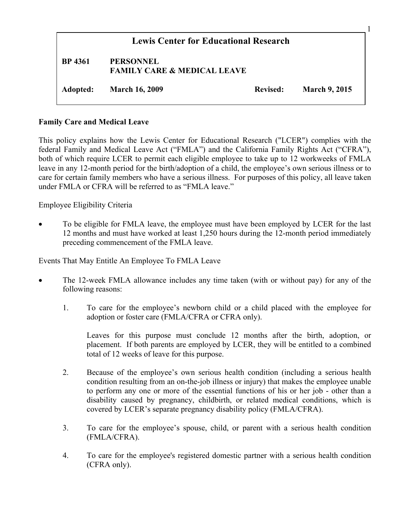| <b>Lewis Center for Educational Research</b> |                                                            |                 |                      |
|----------------------------------------------|------------------------------------------------------------|-----------------|----------------------|
| <b>BP</b> 4361                               | <b>PERSONNEL</b><br><b>FAMILY CARE &amp; MEDICAL LEAVE</b> |                 |                      |
| Adopted:                                     | <b>March 16, 2009</b>                                      | <b>Revised:</b> | <b>March 9, 2015</b> |

#### **Family Care and Medical Leave**

This policy explains how the Lewis Center for Educational Research ("LCER") complies with the federal Family and Medical Leave Act ("FMLA") and the California Family Rights Act ("CFRA"), both of which require LCER to permit each eligible employee to take up to 12 workweeks of FMLA leave in any 12-month period for the birth/adoption of a child, the employee's own serious illness or to care for certain family members who have a serious illness. For purposes of this policy, all leave taken under FMLA or CFRA will be referred to as "FMLA leave."

Employee Eligibility Criteria

• To be eligible for FMLA leave, the employee must have been employed by LCER for the last 12 months and must have worked at least 1,250 hours during the 12-month period immediately preceding commencement of the FMLA leave.

Events That May Entitle An Employee To FMLA Leave

- The 12-week FMLA allowance includes any time taken (with or without pay) for any of the following reasons:
	- 1. To care for the employee's newborn child or a child placed with the employee for adoption or foster care (FMLA/CFRA or CFRA only).

Leaves for this purpose must conclude 12 months after the birth, adoption, or placement. If both parents are employed by LCER, they will be entitled to a combined total of 12 weeks of leave for this purpose.

- 2. Because of the employee's own serious health condition (including a serious health condition resulting from an on-the-job illness or injury) that makes the employee unable to perform any one or more of the essential functions of his or her job - other than a disability caused by pregnancy, childbirth, or related medical conditions, which is covered by LCER's separate pregnancy disability policy (FMLA/CFRA).
- 3. To care for the employee's spouse, child, or parent with a serious health condition (FMLA/CFRA).
- 4. To care for the employee's registered domestic partner with a serious health condition (CFRA only).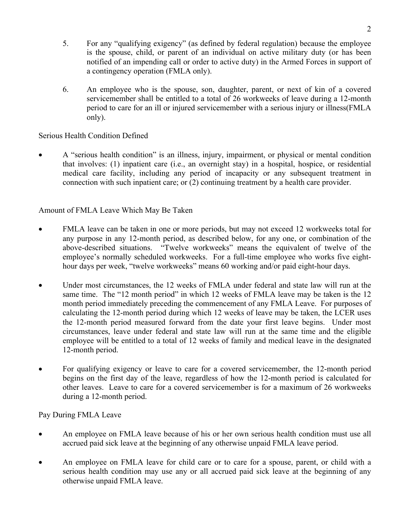- 5. For any "qualifying exigency" (as defined by federal regulation) because the employee is the spouse, child, or parent of an individual on active military duty (or has been notified of an impending call or order to active duty) in the Armed Forces in support of a contingency operation (FMLA only).
- 6. An employee who is the spouse, son, daughter, parent, or next of kin of a covered servicemember shall be entitled to a total of 26 workweeks of leave during a 12-month period to care for an ill or injured servicemember with a serious injury or illness(FMLA only).

## Serious Health Condition Defined

• A "serious health condition" is an illness, injury, impairment, or physical or mental condition that involves: (1) inpatient care (i.e., an overnight stay) in a hospital, hospice, or residential medical care facility, including any period of incapacity or any subsequent treatment in connection with such inpatient care; or (2) continuing treatment by a health care provider.

## Amount of FMLA Leave Which May Be Taken

- FMLA leave can be taken in one or more periods, but may not exceed 12 workweeks total for any purpose in any 12-month period, as described below, for any one, or combination of the above-described situations. "Twelve workweeks" means the equivalent of twelve of the employee's normally scheduled workweeks. For a full-time employee who works five eighthour days per week, "twelve workweeks" means 60 working and/or paid eight-hour days.
- Under most circumstances, the 12 weeks of FMLA under federal and state law will run at the same time. The "12 month period" in which 12 weeks of FMLA leave may be taken is the 12 month period immediately preceding the commencement of any FMLA Leave. For purposes of calculating the 12-month period during which 12 weeks of leave may be taken, the LCER uses the 12-month period measured forward from the date your first leave begins. Under most circumstances, leave under federal and state law will run at the same time and the eligible employee will be entitled to a total of 12 weeks of family and medical leave in the designated 12-month period.
- For qualifying exigency or leave to care for a covered servicemember, the 12-month period begins on the first day of the leave, regardless of how the 12-month period is calculated for other leaves. Leave to care for a covered servicemember is for a maximum of 26 workweeks during a 12-month period.

Pay During FMLA Leave

- An employee on FMLA leave because of his or her own serious health condition must use all accrued paid sick leave at the beginning of any otherwise unpaid FMLA leave period.
- An employee on FMLA leave for child care or to care for a spouse, parent, or child with a serious health condition may use any or all accrued paid sick leave at the beginning of any otherwise unpaid FMLA leave.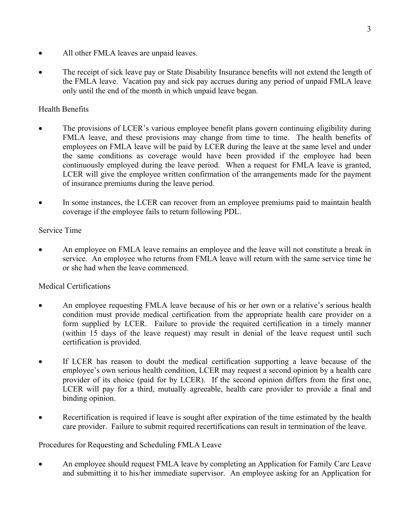- All other FMLA leaves are unpaid leaves.
- The receipt of sick leave pay or State Disability Insurance benefits will not extend the length of the FMLA leave. Vacation pay and sick pay accrues during any period of unpaid FMLA leave only until the end of the month in which unpaid leave began.

# Health Benefits

- The provisions of LCER's various employee benefit plans govern continuing eligibility during FMLA leave, and these provisions may change from time to time. The health benefits of employees on FMLA leave will be paid by LCER during the leave at the same level and under the same conditions as coverage would have been provided if the employee had been continuously employed during the leave period. When a request for FMLA leave is granted, LCER will give the employee written confirmation of the arrangements made for the payment of insurance premiums during the leave period.
- In some instances, the LCER can recover from an employee premiums paid to maintain health coverage if the employee fails to return following PDL.

## Service Time

• An employee on FMLA leave remains an employee and the leave will not constitute a break in service. An employee who returns from FMLA leave will return with the same service time he or she had when the leave commenced.

# Medical Certifications

- An employee requesting FMLA leave because of his or her own or a relative's serious health condition must provide medical certification from the appropriate health care provider on a form supplied by LCER. Failure to provide the required certification in a timely manner (within 15 days of the leave request) may result in denial of the leave request until such certification is provided.
- If LCER has reason to doubt the medical certification supporting a leave because of the employee's own serious health condition, LCER may request a second opinion by a health care provider of its choice (paid for by LCER). If the second opinion differs from the first one, LCER will pay for a third, mutually agreeable, health care provider to provide a final and binding opinion.
- Recertification is required if leave is sought after expiration of the time estimated by the health care provider. Failure to submit required recertifications can result in termination of the leave.

## Procedures for Requesting and Scheduling FMLA Leave

• An employee should request FMLA leave by completing an Application for Family Care Leave and submitting it to his/her immediate supervisor. An employee asking for an Application for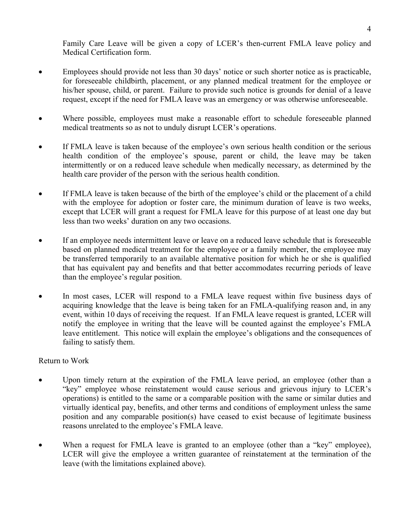Family Care Leave will be given a copy of LCER's then-current FMLA leave policy and Medical Certification form.

- Employees should provide not less than 30 days' notice or such shorter notice as is practicable, for foreseeable childbirth, placement, or any planned medical treatment for the employee or his/her spouse, child, or parent. Failure to provide such notice is grounds for denial of a leave request, except if the need for FMLA leave was an emergency or was otherwise unforeseeable.
- Where possible, employees must make a reasonable effort to schedule foreseeable planned medical treatments so as not to unduly disrupt LCER's operations.
- If FMLA leave is taken because of the employee's own serious health condition or the serious health condition of the employee's spouse, parent or child, the leave may be taken intermittently or on a reduced leave schedule when medically necessary, as determined by the health care provider of the person with the serious health condition.
- If FMLA leave is taken because of the birth of the employee's child or the placement of a child with the employee for adoption or foster care, the minimum duration of leave is two weeks, except that LCER will grant a request for FMLA leave for this purpose of at least one day but less than two weeks' duration on any two occasions.
- If an employee needs intermittent leave or leave on a reduced leave schedule that is foreseeable based on planned medical treatment for the employee or a family member, the employee may be transferred temporarily to an available alternative position for which he or she is qualified that has equivalent pay and benefits and that better accommodates recurring periods of leave than the employee's regular position.
- In most cases, LCER will respond to a FMLA leave request within five business days of acquiring knowledge that the leave is being taken for an FMLA-qualifying reason and, in any event, within 10 days of receiving the request. If an FMLA leave request is granted, LCER will notify the employee in writing that the leave will be counted against the employee's FMLA leave entitlement. This notice will explain the employee's obligations and the consequences of failing to satisfy them.

#### Return to Work

- Upon timely return at the expiration of the FMLA leave period, an employee (other than a "key" employee whose reinstatement would cause serious and grievous injury to LCER's operations) is entitled to the same or a comparable position with the same or similar duties and virtually identical pay, benefits, and other terms and conditions of employment unless the same position and any comparable position(s) have ceased to exist because of legitimate business reasons unrelated to the employee's FMLA leave.
- When a request for FMLA leave is granted to an employee (other than a "key" employee), LCER will give the employee a written guarantee of reinstatement at the termination of the leave (with the limitations explained above).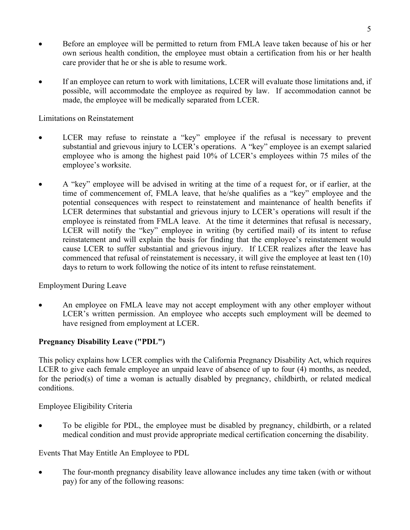- Before an employee will be permitted to return from FMLA leave taken because of his or her own serious health condition, the employee must obtain a certification from his or her health care provider that he or she is able to resume work.
- If an employee can return to work with limitations, LCER will evaluate those limitations and, if possible, will accommodate the employee as required by law. If accommodation cannot be made, the employee will be medically separated from LCER.

Limitations on Reinstatement

- LCER may refuse to reinstate a "key" employee if the refusal is necessary to prevent substantial and grievous injury to LCER's operations. A "key" employee is an exempt salaried employee who is among the highest paid 10% of LCER's employees within 75 miles of the employee's worksite.
- A "key" employee will be advised in writing at the time of a request for, or if earlier, at the time of commencement of, FMLA leave, that he/she qualifies as a "key" employee and the potential consequences with respect to reinstatement and maintenance of health benefits if LCER determines that substantial and grievous injury to LCER's operations will result if the employee is reinstated from FMLA leave. At the time it determines that refusal is necessary, LCER will notify the "key" employee in writing (by certified mail) of its intent to refuse reinstatement and will explain the basis for finding that the employee's reinstatement would cause LCER to suffer substantial and grievous injury. If LCER realizes after the leave has commenced that refusal of reinstatement is necessary, it will give the employee at least ten (10) days to return to work following the notice of its intent to refuse reinstatement.

Employment During Leave

An employee on FMLA leave may not accept employment with any other employer without LCER's written permission. An employee who accepts such employment will be deemed to have resigned from employment at LCER.

## **Pregnancy Disability Leave ("PDL")**

This policy explains how LCER complies with the California Pregnancy Disability Act, which requires LCER to give each female employee an unpaid leave of absence of up to four (4) months, as needed, for the period(s) of time a woman is actually disabled by pregnancy, childbirth, or related medical conditions.

Employee Eligibility Criteria

• To be eligible for PDL, the employee must be disabled by pregnancy, childbirth, or a related medical condition and must provide appropriate medical certification concerning the disability.

Events That May Entitle An Employee to PDL

• The four-month pregnancy disability leave allowance includes any time taken (with or without pay) for any of the following reasons: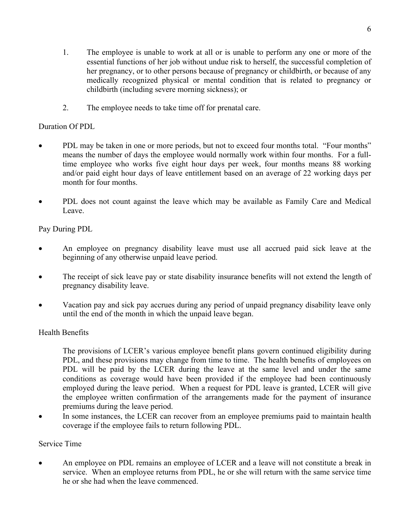- 1. The employee is unable to work at all or is unable to perform any one or more of the essential functions of her job without undue risk to herself, the successful completion of her pregnancy, or to other persons because of pregnancy or childbirth, or because of any medically recognized physical or mental condition that is related to pregnancy or childbirth (including severe morning sickness); or
- 2. The employee needs to take time off for prenatal care.

## Duration Of PDL

- PDL may be taken in one or more periods, but not to exceed four months total. "Four months" means the number of days the employee would normally work within four months. For a fulltime employee who works five eight hour days per week, four months means 88 working and/or paid eight hour days of leave entitlement based on an average of 22 working days per month for four months.
- PDL does not count against the leave which may be available as Family Care and Medical Leave.

Pay During PDL

- An employee on pregnancy disability leave must use all accrued paid sick leave at the beginning of any otherwise unpaid leave period.
- The receipt of sick leave pay or state disability insurance benefits will not extend the length of pregnancy disability leave.
- Vacation pay and sick pay accrues during any period of unpaid pregnancy disability leave only until the end of the month in which the unpaid leave began.

## Health Benefits

The provisions of LCER's various employee benefit plans govern continued eligibility during PDL, and these provisions may change from time to time. The health benefits of employees on PDL will be paid by the LCER during the leave at the same level and under the same conditions as coverage would have been provided if the employee had been continuously employed during the leave period. When a request for PDL leave is granted, LCER will give the employee written confirmation of the arrangements made for the payment of insurance premiums during the leave period.

In some instances, the LCER can recover from an employee premiums paid to maintain health coverage if the employee fails to return following PDL.

## Service Time

• An employee on PDL remains an employee of LCER and a leave will not constitute a break in service. When an employee returns from PDL, he or she will return with the same service time he or she had when the leave commenced.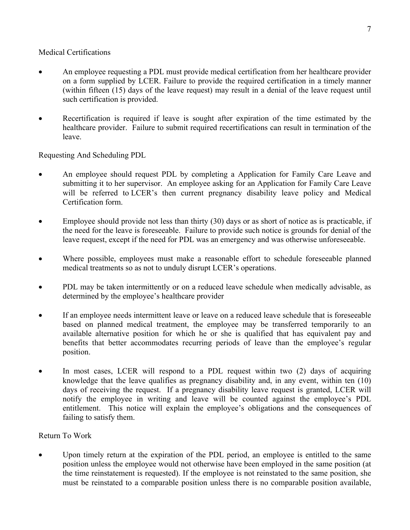#### Medical Certifications

- An employee requesting a PDL must provide medical certification from her healthcare provider on a form supplied by LCER. Failure to provide the required certification in a timely manner (within fifteen (15) days of the leave request) may result in a denial of the leave request until such certification is provided.
- Recertification is required if leave is sought after expiration of the time estimated by the healthcare provider. Failure to submit required recertifications can result in termination of the leave.

Requesting And Scheduling PDL

- An employee should request PDL by completing a Application for Family Care Leave and submitting it to her supervisor. An employee asking for an Application for Family Care Leave will be referred to LCER's then current pregnancy disability leave policy and Medical Certification form.
- Employee should provide not less than thirty (30) days or as short of notice as is practicable, if the need for the leave is foreseeable. Failure to provide such notice is grounds for denial of the leave request, except if the need for PDL was an emergency and was otherwise unforeseeable.
- Where possible, employees must make a reasonable effort to schedule foreseeable planned medical treatments so as not to unduly disrupt LCER's operations.
- PDL may be taken intermittently or on a reduced leave schedule when medically advisable, as determined by the employee's healthcare provider
- If an employee needs intermittent leave or leave on a reduced leave schedule that is foreseeable based on planned medical treatment, the employee may be transferred temporarily to an available alternative position for which he or she is qualified that has equivalent pay and benefits that better accommodates recurring periods of leave than the employee's regular position.
- In most cases, LCER will respond to a PDL request within two (2) days of acquiring knowledge that the leave qualifies as pregnancy disability and, in any event, within ten (10) days of receiving the request. If a pregnancy disability leave request is granted, LCER will notify the employee in writing and leave will be counted against the employee's PDL entitlement. This notice will explain the employee's obligations and the consequences of failing to satisfy them.

## Return To Work

Upon timely return at the expiration of the PDL period, an employee is entitled to the same position unless the employee would not otherwise have been employed in the same position (at the time reinstatement is requested). If the employee is not reinstated to the same position, she must be reinstated to a comparable position unless there is no comparable position available,